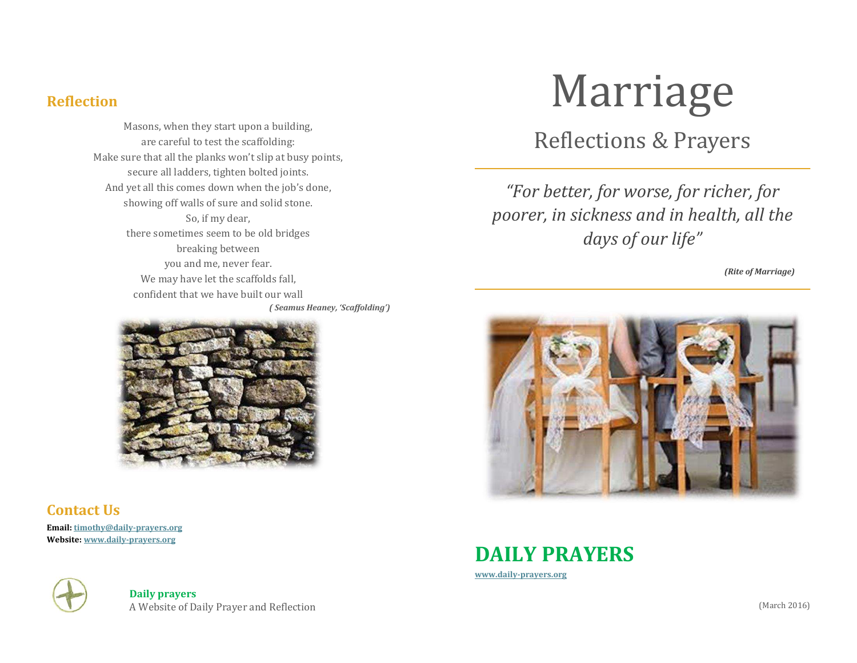#### **Reflection**

Masons, when they start upon a building, are careful to test the scaffolding: Make sure that all the planks won't slip at busy points, secure all ladders, tighten bolted joints. And yet all this comes down when the job's done, showing off walls of sure and solid stone. So, if my dear, there sometimes seem to be old bridges breaking between you and me, never fear. We may have let the scaffolds fall, confident that we have built our wall *( Seamus Heaney, 'Scaffolding')* 



#### **Contact Us**

**Email: [timothy@daily-prayers.org](mailto:timothy@daily-prayers.org) Website: [www.daily-prayers.org](http://www.daily-prayers.org/)**



**Daily prayers**  A Website of Daily Prayer and Reflection

# Marriage

#### Reflections & Prayers

*"For better, for worse, for richer, for poorer, in sickness and in health, all the days of our life"* 

*(Rite of Marriage)* 





**[www.daily-prayers.org](http://www.daily-prayers.org/)**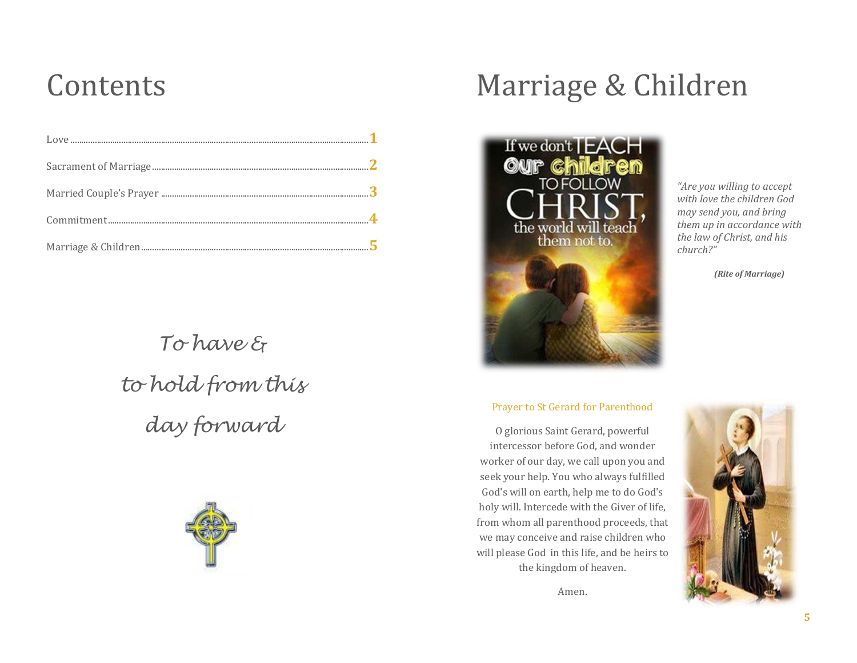### Contents

To have & to hold from this day forward



## Marriage & Children



*"Are you willing to accept with love the children God may send you, and bring them up in accordance with the law of Christ, and his church?"*

*(Rite of Marriage)*

#### Prayer to St Gerard for Parenthood

O glorious Saint Gerard, powerful intercessor before God, and wonder worker of our day, we call upon you and seek your help. You who always fulfilled God's will on earth, help me to do God's holy will. Intercede with the Giver of life, from whom all parenthood proceeds, that we may conceive and raise children who will please God in this life, and be heirs to the kingdom of heaven.

Amen.

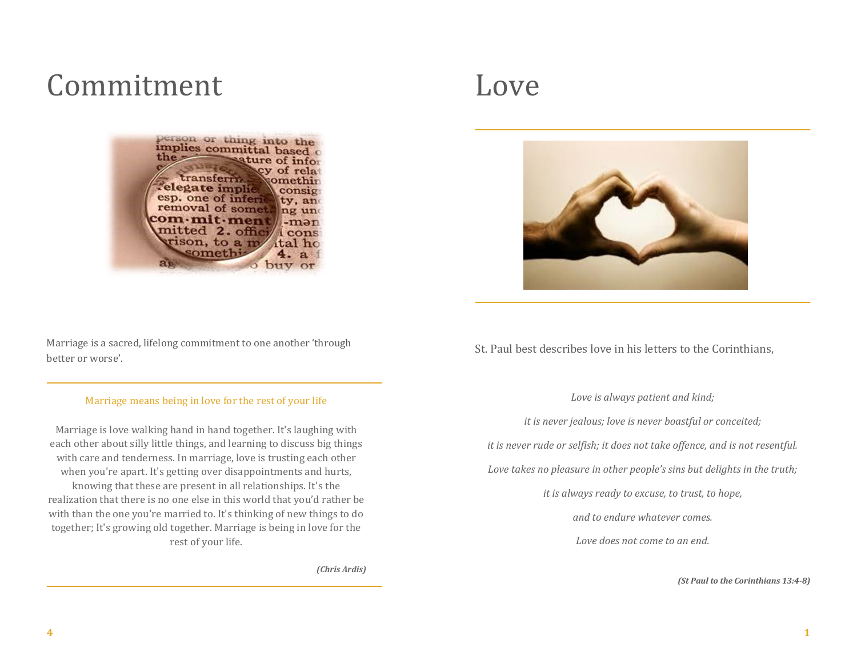### Commitment

person or thing into the implies committal based  $the =$ sature of infor of rela transferrir omethir elegate implie consig esp. one of inferi tv. and removal of somet ng und :om·mit·men -mən mitted 2. offici 1 cons: rison, to a m ital ho somethi a 4. buy

Marriage is a sacred, lifelong commitment to one another 'through better or worse'.

#### Marriage means being in love for the rest of your life

Marriage is love walking hand in hand together. It's laughing with each other about silly little things, and learning to discuss big things with care and tenderness. In marriage, love is trusting each other when you're apart. It's getting over disappointments and hurts, knowing that these are present in all relationships. It's the realization that there is no one else in this world that you'd rather be with than the one you're married to. It's thinking of new things to do together; It's growing old together. Marriage is being in love for the rest of your life.

*(Chris Ardis)*

#### Love



St. Paul best describes love in his letters to the Corinthians,

*Love is always patient and kind;* 

*it is never jealous; love is never boastful or conceited;* 

*it is never rude or selfish; it does not take offence, and is not resentful.* 

*Love takes no pleasure in other people's sins but delights in the truth;*

*it is always ready to excuse, to trust, to hope,* 

*and to endure whatever comes.* 

*Love does not come to an end.*

*(St Paul to the Corinthians 13:4-8)*